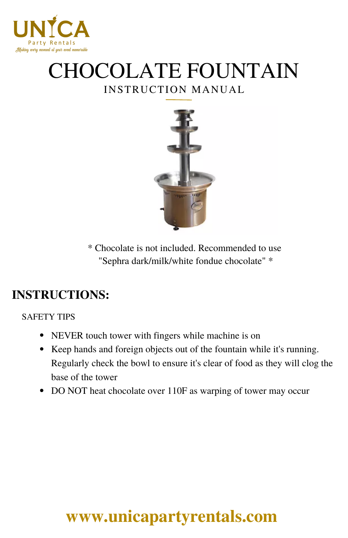

## INSTRUCTION MANUAL CHOCOLATE FOUNTAIN



\* Chocolate is not included. Recommended to use "Sephra dark/milk/white fondue chocolate" \*

### **INSTRUCTIONS:**

SAFETY TIPS

- NEVER touch tower with fingers while machine is on
- Keep hands and foreign objects out of the fountain while it's running. Regularly check the bowl to ensure it's clear of food as they will clog the base of the tower
- DO NOT heat chocolate over 110F as warping of tower may occur

# **[www.unicapartyrentals.com](https://www.unicapartyrentals.com/contact)**